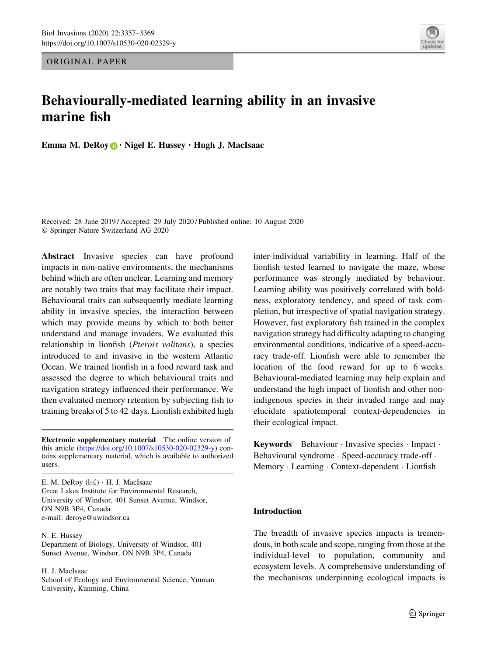ORIGINAL PAPER

# Behaviourally-mediated learning ability in an invasive marine fish

Emma M. DeRoy  $\bigcirc$   $\cdot$  Nigel E. Hussey  $\cdot$  Hugh J. MacIsaac

Received: 28 June 2019 / Accepted: 29 July 2020 / Published online: 10 August 2020 - Springer Nature Switzerland AG 2020

Abstract Invasive species can have profound impacts in non-native environments, the mechanisms behind which are often unclear. Learning and memory are notably two traits that may facilitate their impact. Behavioural traits can subsequently mediate learning ability in invasive species, the interaction between which may provide means by which to both better understand and manage invaders. We evaluated this relationship in lionfish (Pterois volitans), a species introduced to and invasive in the western Atlantic Ocean. We trained lionfish in a food reward task and assessed the degree to which behavioural traits and navigation strategy influenced their performance. We then evaluated memory retention by subjecting fish to training breaks of 5 to 42 days. Lionfish exhibited high

Electronic supplementary material The online version of this article [\(https://doi.org/10.1007/s10530-020-02329-y](https://doi.org/10.1007/s10530-020-02329-y)) contains supplementary material, which is available to authorized users.

E. M. DeRoy (⊠) · H. J. MacIsaac Great Lakes Institute for Environmental Research, University of Windsor, 401 Sunset Avenue, Windsor, ON N9B 3P4, Canada e-mail: deroye@uwindsor.ca

#### N. E. Hussey

Department of Biology, University of Windsor, 401 Sunset Avenue, Windsor, ON N9B 3P4, Canada

#### H. J. MacIsaac

School of Ecology and Environmental Science, Yunnan University, Kunming, China

inter-individual variability in learning. Half of the lionfish tested learned to navigate the maze, whose performance was strongly mediated by behaviour. Learning ability was positively correlated with boldness, exploratory tendency, and speed of task completion, but irrespective of spatial navigation strategy. However, fast exploratory fish trained in the complex navigation strategy had difficulty adapting to changing environmental conditions, indicative of a speed-accuracy trade-off. Lionfish were able to remember the location of the food reward for up to 6 weeks. Behavioural-mediated learning may help explain and understand the high impact of lionfish and other nonindigenous species in their invaded range and may elucidate spatiotemporal context-dependencies in their ecological impact.

Keywords Behaviour · Invasive species · Impact · Behavioural syndrome - Speed-accuracy trade-off - Memory - Learning - Context-dependent - Lionfish

# Introduction

The breadth of invasive species impacts is tremendous, in both scale and scope, ranging from those at the individual-level to population, community and ecosystem levels. A comprehensive understanding of the mechanisms underpinning ecological impacts is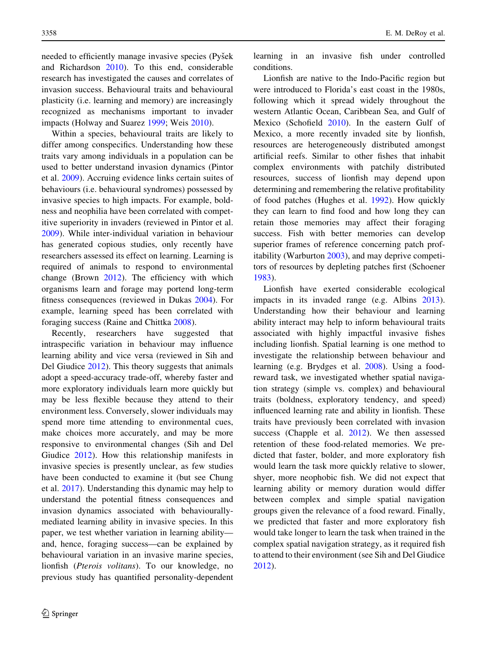needed to efficiently manage invasive species (Pyšek and Richardson [2010\)](#page-11-0). To this end, considerable research has investigated the causes and correlates of invasion success. Behavioural traits and behavioural plasticity (i.e. learning and memory) are increasingly recognized as mechanisms important to invader impacts (Holway and Suarez [1999;](#page-11-0) Weis [2010\)](#page-12-0).

Within a species, behavioural traits are likely to differ among conspecifics. Understanding how these traits vary among individuals in a population can be used to better understand invasion dynamics (Pintor et al. [2009](#page-11-0)). Accruing evidence links certain suites of behaviours (i.e. behavioural syndromes) possessed by invasive species to high impacts. For example, boldness and neophilia have been correlated with competitive superiority in invaders (reviewed in Pintor et al. [2009\)](#page-11-0). While inter-individual variation in behaviour has generated copious studies, only recently have researchers assessed its effect on learning. Learning is required of animals to respond to environmental change (Brown [2012\)](#page-10-0). The efficiency with which organisms learn and forage may portend long-term fitness consequences (reviewed in Dukas [2004\)](#page-11-0). For example, learning speed has been correlated with foraging success (Raine and Chittka [2008](#page-11-0)).

Recently, researchers have suggested that intraspecific variation in behaviour may influence learning ability and vice versa (reviewed in Sih and Del Giudice [2012\)](#page-12-0). This theory suggests that animals adopt a speed-accuracy trade-off, whereby faster and more exploratory individuals learn more quickly but may be less flexible because they attend to their environment less. Conversely, slower individuals may spend more time attending to environmental cues, make choices more accurately, and may be more responsive to environmental changes (Sih and Del Giudice [2012\)](#page-12-0). How this relationship manifests in invasive species is presently unclear, as few studies have been conducted to examine it (but see Chung et al. [2017](#page-11-0)). Understanding this dynamic may help to understand the potential fitness consequences and invasion dynamics associated with behaviourallymediated learning ability in invasive species. In this paper, we test whether variation in learning ability and, hence, foraging success—can be explained by behavioural variation in an invasive marine species, lionfish (Pterois volitans). To our knowledge, no previous study has quantified personality-dependent learning in an invasive fish under controlled conditions.

Lionfish are native to the Indo-Pacific region but were introduced to Florida's east coast in the 1980s, following which it spread widely throughout the western Atlantic Ocean, Caribbean Sea, and Gulf of Mexico (Schofield [2010\)](#page-12-0). In the eastern Gulf of Mexico, a more recently invaded site by lionfish, resources are heterogeneously distributed amongst artificial reefs. Similar to other fishes that inhabit complex environments with patchily distributed resources, success of lionfish may depend upon determining and remembering the relative profitability of food patches (Hughes et al. [1992\)](#page-11-0). How quickly they can learn to find food and how long they can retain those memories may affect their foraging success. Fish with better memories can develop superior frames of reference concerning patch profitability (Warburton [2003\)](#page-12-0), and may deprive competitors of resources by depleting patches first (Schoener [1983\)](#page-12-0).

Lionfish have exerted considerable ecological impacts in its invaded range (e.g. Albins [2013](#page-10-0)). Understanding how their behaviour and learning ability interact may help to inform behavioural traits associated with highly impactful invasive fishes including lionfish. Spatial learning is one method to investigate the relationship between behaviour and learning (e.g. Brydges et al. [2008](#page-11-0)). Using a foodreward task, we investigated whether spatial navigation strategy (simple vs. complex) and behavioural traits (boldness, exploratory tendency, and speed) influenced learning rate and ability in lionfish. These traits have previously been correlated with invasion success (Chapple et al. [2012\)](#page-11-0). We then assessed retention of these food-related memories. We predicted that faster, bolder, and more exploratory fish would learn the task more quickly relative to slower, shyer, more neophobic fish. We did not expect that learning ability or memory duration would differ between complex and simple spatial navigation groups given the relevance of a food reward. Finally, we predicted that faster and more exploratory fish would take longer to learn the task when trained in the complex spatial navigation strategy, as it required fish to attend to their environment (see Sih and Del Giudice [2012\)](#page-12-0).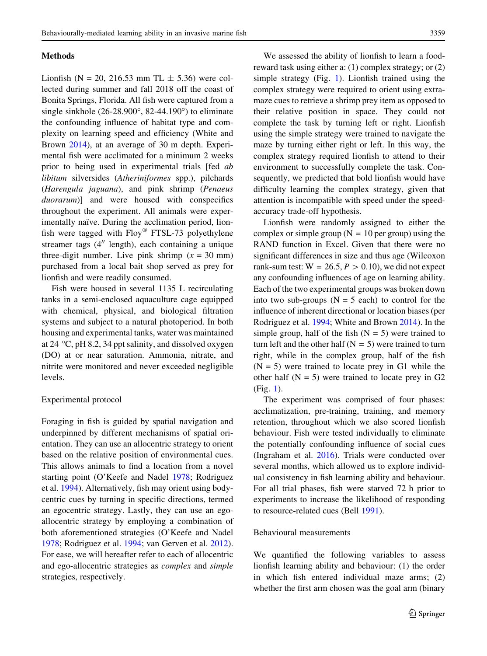### Methods

Lionfish (N = 20, 216.53 mm TL  $\pm$  5.36) were collected during summer and fall 2018 off the coast of Bonita Springs, Florida. All fish were captured from a single sinkhole  $(26-28.900^{\circ}, 82-44.190^{\circ})$  to eliminate the confounding influence of habitat type and complexity on learning speed and efficiency (White and Brown [2014\)](#page-12-0), at an average of 30 m depth. Experimental fish were acclimated for a minimum 2 weeks prior to being used in experimental trials [fed ab libitum silversides (Atheriniformes spp.), pilchards (Harengula jaguana), and pink shrimp (Penaeus duorarum)] and were housed with conspecifics throughout the experiment. All animals were experimentally naïve. During the acclimation period, lionfish were tagged with  $Floy^{\otimes}$  FTSL-73 polyethylene streamer tags  $(4<sup>′′</sup>$  length), each containing a unique three-digit number. Live pink shrimp ( $\bar{x} = 30$  mm) purchased from a local bait shop served as prey for lionfish and were readily consumed.

Fish were housed in several 1135 L recirculating tanks in a semi-enclosed aquaculture cage equipped with chemical, physical, and biological filtration systems and subject to a natural photoperiod. In both housing and experimental tanks, water was maintained at 24  $\degree$ C, pH 8.2, 34 ppt salinity, and dissolved oxygen (DO) at or near saturation. Ammonia, nitrate, and nitrite were monitored and never exceeded negligible levels.

#### Experimental protocol

Foraging in fish is guided by spatial navigation and underpinned by different mechanisms of spatial orientation. They can use an allocentric strategy to orient based on the relative position of environmental cues. This allows animals to find a location from a novel starting point (O'Keefe and Nadel [1978;](#page-11-0) Rodriguez et al. [1994](#page-12-0)). Alternatively, fish may orient using bodycentric cues by turning in specific directions, termed an egocentric strategy. Lastly, they can use an egoallocentric strategy by employing a combination of both aforementioned strategies (O'Keefe and Nadel [1978;](#page-11-0) Rodriguez et al. [1994](#page-12-0); van Gerven et al. [2012](#page-12-0)). For ease, we will hereafter refer to each of allocentric and ego-allocentric strategies as complex and simple strategies, respectively.

We assessed the ability of lionfish to learn a foodreward task using either a: (1) complex strategy; or (2) simple strategy (Fig. [1](#page-3-0)). Lionfish trained using the complex strategy were required to orient using extramaze cues to retrieve a shrimp prey item as opposed to their relative position in space. They could not complete the task by turning left or right. Lionfish using the simple strategy were trained to navigate the maze by turning either right or left. In this way, the complex strategy required lionfish to attend to their environment to successfully complete the task. Consequently, we predicted that bold lionfish would have difficulty learning the complex strategy, given that attention is incompatible with speed under the speedaccuracy trade-off hypothesis.

Lionfish were randomly assigned to either the complex or simple group ( $N = 10$  per group) using the RAND function in Excel. Given that there were no significant differences in size and thus age (Wilcoxon rank-sum test:  $W = 26.5, P > 0.10$ , we did not expect any confounding influences of age on learning ability. Each of the two experimental groups was broken down into two sub-groups  $(N = 5$  each) to control for the influence of inherent directional or location biases (per Rodriguez et al. [1994;](#page-12-0) White and Brown [2014](#page-12-0)). In the simple group, half of the fish  $(N = 5)$  were trained to turn left and the other half  $(N = 5)$  were trained to turn right, while in the complex group, half of the fish  $(N = 5)$  were trained to locate prey in G1 while the other half  $(N = 5)$  were trained to locate prey in G2 (Fig. [1](#page-3-0)).

The experiment was comprised of four phases: acclimatization, pre-training, training, and memory retention, throughout which we also scored lionfish behaviour. Fish were tested individually to eliminate the potentially confounding influence of social cues (Ingraham et al. [2016](#page-11-0)). Trials were conducted over several months, which allowed us to explore individual consistency in fish learning ability and behaviour. For all trial phases, fish were starved 72 h prior to experiments to increase the likelihood of responding to resource-related cues (Bell [1991](#page-10-0)).

#### Behavioural measurements

We quantified the following variables to assess lionfish learning ability and behaviour: (1) the order in which fish entered individual maze arms; (2) whether the first arm chosen was the goal arm (binary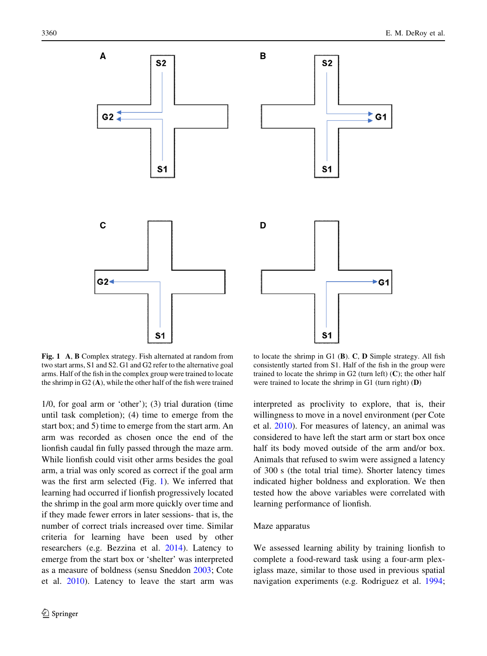<span id="page-3-0"></span>

Fig. 1 A, B Complex strategy. Fish alternated at random from two start arms, S1 and S2. G1 and G2 refer to the alternative goal arms. Half of the fish in the complex group were trained to locate the shrimp in G2 (A), while the other half of the fish were trained

1/0, for goal arm or 'other'); (3) trial duration (time until task completion); (4) time to emerge from the start box; and 5) time to emerge from the start arm. An arm was recorded as chosen once the end of the lionfish caudal fin fully passed through the maze arm. While lionfish could visit other arms besides the goal arm, a trial was only scored as correct if the goal arm was the first arm selected (Fig. 1). We inferred that learning had occurred if lionfish progressively located the shrimp in the goal arm more quickly over time and if they made fewer errors in later sessions- that is, the number of correct trials increased over time. Similar criteria for learning have been used by other researchers (e.g. Bezzina et al. [2014\)](#page-10-0). Latency to emerge from the start box or 'shelter' was interpreted as a measure of boldness (sensu Sneddon [2003](#page-12-0); Cote et al. [2010](#page-11-0)). Latency to leave the start arm was

to locate the shrimp in G1 (B). C, D Simple strategy. All fish consistently started from S1. Half of the fish in the group were trained to locate the shrimp in  $G2$  (turn left)  $(C)$ ; the other half were trained to locate the shrimp in G1 (turn right) (D)

interpreted as proclivity to explore, that is, their willingness to move in a novel environment (per Cote et al. [2010](#page-11-0)). For measures of latency, an animal was considered to have left the start arm or start box once half its body moved outside of the arm and/or box. Animals that refused to swim were assigned a latency of 300 s (the total trial time). Shorter latency times indicated higher boldness and exploration. We then tested how the above variables were correlated with learning performance of lionfish.

### Maze apparatus

We assessed learning ability by training lionfish to complete a food-reward task using a four-arm plexiglass maze, similar to those used in previous spatial navigation experiments (e.g. Rodriguez et al. [1994](#page-12-0);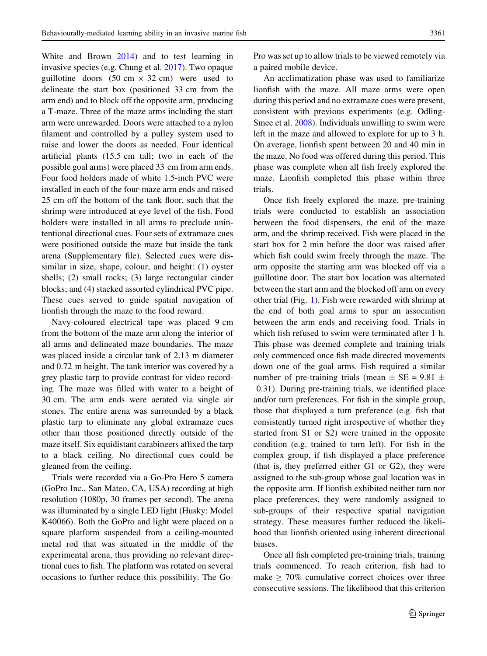White and Brown [2014](#page-12-0)) and to test learning in invasive species (e.g. Chung et al. [2017](#page-11-0)). Two opaque guillotine doors  $(50 \text{ cm} \times 32 \text{ cm})$  were used to delineate the start box (positioned 33 cm from the arm end) and to block off the opposite arm, producing a T-maze. Three of the maze arms including the start arm were unrewarded. Doors were attached to a nylon filament and controlled by a pulley system used to raise and lower the doors as needed. Four identical artificial plants (15.5 cm tall; two in each of the possible goal arms) were placed 33 cm from arm ends. Four food holders made of white 1.5-inch PVC were installed in each of the four-maze arm ends and raised 25 cm off the bottom of the tank floor, such that the shrimp were introduced at eye level of the fish. Food holders were installed in all arms to preclude unintentional directional cues. Four sets of extramaze cues were positioned outside the maze but inside the tank arena (Supplementary file). Selected cues were dissimilar in size, shape, colour, and height: (1) oyster shells; (2) small rocks; (3) large rectangular cinder blocks; and (4) stacked assorted cylindrical PVC pipe. These cues served to guide spatial navigation of lionfish through the maze to the food reward.

Navy-coloured electrical tape was placed 9 cm from the bottom of the maze arm along the interior of all arms and delineated maze boundaries. The maze was placed inside a circular tank of 2.13 m diameter and 0.72 m height. The tank interior was covered by a grey plastic tarp to provide contrast for video recording. The maze was filled with water to a height of 30 cm. The arm ends were aerated via single air stones. The entire arena was surrounded by a black plastic tarp to eliminate any global extramaze cues other than those positioned directly outside of the maze itself. Six equidistant carabineers affixed the tarp to a black ceiling. No directional cues could be gleaned from the ceiling.

Trials were recorded via a Go-Pro Hero 5 camera (GoPro Inc., San Mateo, CA, USA) recording at high resolution (1080p, 30 frames per second). The arena was illuminated by a single LED light (Husky: Model K40066). Both the GoPro and light were placed on a square platform suspended from a ceiling-mounted metal rod that was situated in the middle of the experimental arena, thus providing no relevant directional cues to fish. The platform was rotated on several occasions to further reduce this possibility. The GoPro was set up to allow trials to be viewed remotely via a paired mobile device.

An acclimatization phase was used to familiarize lionfish with the maze. All maze arms were open during this period and no extramaze cues were present, consistent with previous experiments (e.g. Odling-Smee et al. [2008\)](#page-11-0). Individuals unwilling to swim were left in the maze and allowed to explore for up to 3 h. On average, lionfish spent between 20 and 40 min in the maze. No food was offered during this period. This phase was complete when all fish freely explored the maze. Lionfish completed this phase within three trials.

Once fish freely explored the maze, pre-training trials were conducted to establish an association between the food dispensers, the end of the maze arm, and the shrimp received. Fish were placed in the start box for 2 min before the door was raised after which fish could swim freely through the maze. The arm opposite the starting arm was blocked off via a guillotine door. The start box location was alternated between the start arm and the blocked off arm on every other trial (Fig. [1\)](#page-3-0). Fish were rewarded with shrimp at the end of both goal arms to spur an association between the arm ends and receiving food. Trials in which fish refused to swim were terminated after 1 h. This phase was deemed complete and training trials only commenced once fish made directed movements down one of the goal arms. Fish required a similar number of pre-training trials (mean  $\pm$  SE = 9.81  $\pm$ 0.31). During pre-training trials, we identified place and/or turn preferences. For fish in the simple group, those that displayed a turn preference (e.g. fish that consistently turned right irrespective of whether they started from S1 or S2) were trained in the opposite condition (e.g. trained to turn left). For fish in the complex group, if fish displayed a place preference (that is, they preferred either G1 or G2), they were assigned to the sub-group whose goal location was in the opposite arm. If lionfish exhibited neither turn nor place preferences, they were randomly assigned to sub-groups of their respective spatial navigation strategy. These measures further reduced the likelihood that lionfish oriented using inherent directional biases.

Once all fish completed pre-training trials, training trials commenced. To reach criterion, fish had to make  $\geq 70\%$  cumulative correct choices over three consecutive sessions. The likelihood that this criterion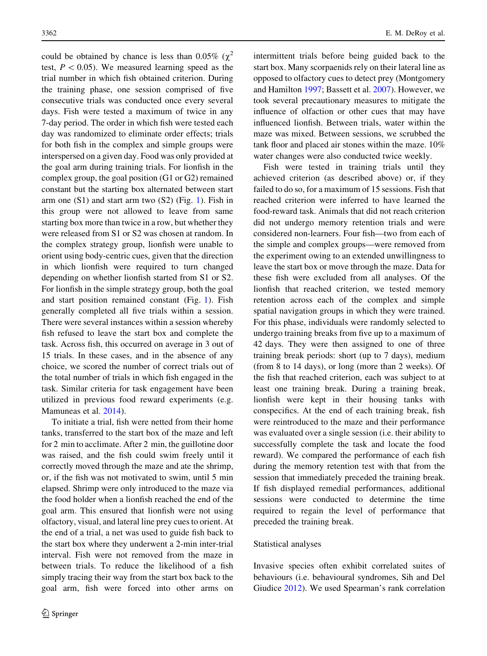could be obtained by chance is less than 0.05% ( $\chi^2$ ) test,  $P < 0.05$ ). We measured learning speed as the trial number in which fish obtained criterion. During the training phase, one session comprised of five consecutive trials was conducted once every several days. Fish were tested a maximum of twice in any 7-day period. The order in which fish were tested each day was randomized to eliminate order effects; trials for both fish in the complex and simple groups were interspersed on a given day. Food was only provided at the goal arm during training trials. For lionfish in the complex group, the goal position (G1 or G2) remained constant but the starting box alternated between start arm one  $(S1)$  $(S1)$  $(S1)$  and start arm two  $(S2)$  (Fig. 1). Fish in this group were not allowed to leave from same starting box more than twice in a row, but whether they were released from S1 or S2 was chosen at random. In the complex strategy group, lionfish were unable to orient using body-centric cues, given that the direction in which lionfish were required to turn changed depending on whether lionfish started from S1 or S2. For lionfish in the simple strategy group, both the goal and start position remained constant (Fig. [1](#page-3-0)). Fish generally completed all five trials within a session. There were several instances within a session whereby fish refused to leave the start box and complete the task. Across fish, this occurred on average in 3 out of 15 trials. In these cases, and in the absence of any choice, we scored the number of correct trials out of the total number of trials in which fish engaged in the task. Similar criteria for task engagement have been utilized in previous food reward experiments (e.g. Mamuneas et al. [2014](#page-11-0)).

To initiate a trial, fish were netted from their home tanks, transferred to the start box of the maze and left for 2 min to acclimate. After 2 min, the guillotine door was raised, and the fish could swim freely until it correctly moved through the maze and ate the shrimp, or, if the fish was not motivated to swim, until 5 min elapsed. Shrimp were only introduced to the maze via the food holder when a lionfish reached the end of the goal arm. This ensured that lionfish were not using olfactory, visual, and lateral line prey cues to orient. At the end of a trial, a net was used to guide fish back to the start box where they underwent a 2-min inter-trial interval. Fish were not removed from the maze in between trials. To reduce the likelihood of a fish simply tracing their way from the start box back to the goal arm, fish were forced into other arms on intermittent trials before being guided back to the start box. Many scorpaenids rely on their lateral line as opposed to olfactory cues to detect prey (Montgomery and Hamilton [1997;](#page-11-0) Bassett et al. [2007](#page-10-0)). However, we took several precautionary measures to mitigate the influence of olfaction or other cues that may have influenced lionfish. Between trials, water within the maze was mixed. Between sessions, we scrubbed the tank floor and placed air stones within the maze. 10% water changes were also conducted twice weekly.

Fish were tested in training trials until they achieved criterion (as described above) or, if they failed to do so, for a maximum of 15 sessions. Fish that reached criterion were inferred to have learned the food-reward task. Animals that did not reach criterion did not undergo memory retention trials and were considered non-learners. Four fish—two from each of the simple and complex groups—were removed from the experiment owing to an extended unwillingness to leave the start box or move through the maze. Data for these fish were excluded from all analyses. Of the lionfish that reached criterion, we tested memory retention across each of the complex and simple spatial navigation groups in which they were trained. For this phase, individuals were randomly selected to undergo training breaks from five up to a maximum of 42 days. They were then assigned to one of three training break periods: short (up to 7 days), medium (from 8 to 14 days), or long (more than 2 weeks). Of the fish that reached criterion, each was subject to at least one training break. During a training break, lionfish were kept in their housing tanks with conspecifics. At the end of each training break, fish were reintroduced to the maze and their performance was evaluated over a single session (i.e. their ability to successfully complete the task and locate the food reward). We compared the performance of each fish during the memory retention test with that from the session that immediately preceded the training break. If fish displayed remedial performances, additional sessions were conducted to determine the time required to regain the level of performance that preceded the training break.

#### Statistical analyses

Invasive species often exhibit correlated suites of behaviours (i.e. behavioural syndromes, Sih and Del Giudice [2012](#page-12-0)). We used Spearman's rank correlation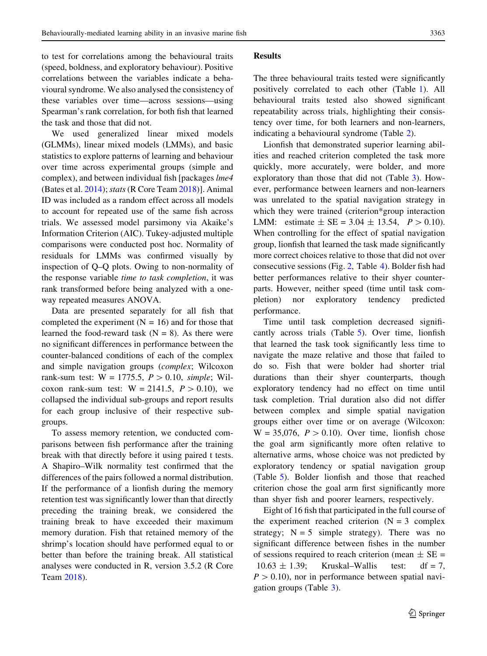to test for correlations among the behavioural traits (speed, boldness, and exploratory behaviour). Positive correlations between the variables indicate a behavioural syndrome. We also analysed the consistency of these variables over time—across sessions—using Spearman's rank correlation, for both fish that learned the task and those that did not.

We used generalized linear mixed models (GLMMs), linear mixed models (LMMs), and basic statistics to explore patterns of learning and behaviour over time across experimental groups (simple and complex), and between individual fish [packages lme4 (Bates et al.  $2014$ ); stats (R Core Team [2018](#page-11-0))]. Animal ID was included as a random effect across all models to account for repeated use of the same fish across trials. We assessed model parsimony via Akaike's Information Criterion (AIC). Tukey-adjusted multiple comparisons were conducted post hoc. Normality of residuals for LMMs was confirmed visually by inspection of Q–Q plots. Owing to non-normality of the response variable time to task completion, it was rank transformed before being analyzed with a oneway repeated measures ANOVA.

Data are presented separately for all fish that completed the experiment  $(N = 16)$  and for those that learned the food-reward task  $(N = 8)$ . As there were no significant differences in performance between the counter-balanced conditions of each of the complex and simple navigation groups (complex; Wilcoxon rank-sum test:  $W = 1775.5$ ,  $P > 0.10$ , simple; Wilcoxon rank-sum test:  $W = 2141.5$ ,  $P > 0.10$ , we collapsed the individual sub-groups and report results for each group inclusive of their respective subgroups.

To assess memory retention, we conducted comparisons between fish performance after the training break with that directly before it using paired t tests. A Shapiro–Wilk normality test confirmed that the differences of the pairs followed a normal distribution. If the performance of a lionfish during the memory retention test was significantly lower than that directly preceding the training break, we considered the training break to have exceeded their maximum memory duration. Fish that retained memory of the shrimp's location should have performed equal to or better than before the training break. All statistical analyses were conducted in R, version 3.5.2 (R Core Team [2018](#page-11-0)).

# Results

The three behavioural traits tested were significantly positively correlated to each other (Table [1\)](#page-7-0). All behavioural traits tested also showed significant repeatability across trials, highlighting their consistency over time, for both learners and non-learners, indicating a behavioural syndrome (Table [2\)](#page-7-0).

Lionfish that demonstrated superior learning abilities and reached criterion completed the task more quickly, more accurately, were bolder, and more exploratory than those that did not (Table [3\)](#page-7-0). However, performance between learners and non-learners was unrelated to the spatial navigation strategy in which they were trained (criterion\*group interaction LMM: estimate  $\pm$  SE = 3.04  $\pm$  13.54,  $P > 0.10$ ). When controlling for the effect of spatial navigation group, lionfish that learned the task made significantly more correct choices relative to those that did not over consecutive sessions (Fig. [2](#page-7-0), Table [4](#page-8-0)). Bolder fish had better performances relative to their shyer counterparts. However, neither speed (time until task completion) nor exploratory tendency predicted performance.

Time until task completion decreased significantly across trials (Table [5\)](#page-8-0). Over time, lionfish that learned the task took significantly less time to navigate the maze relative and those that failed to do so. Fish that were bolder had shorter trial durations than their shyer counterparts, though exploratory tendency had no effect on time until task completion. Trial duration also did not differ between complex and simple spatial navigation groups either over time or on average (Wilcoxon:  $W = 35,076$ ,  $P > 0.10$ ). Over time, lionfish chose the goal arm significantly more often relative to alternative arms, whose choice was not predicted by exploratory tendency or spatial navigation group (Table [5](#page-8-0)). Bolder lionfish and those that reached criterion chose the goal arm first significantly more than shyer fish and poorer learners, respectively.

Eight of 16 fish that participated in the full course of the experiment reached criterion  $(N = 3$  complex strategy;  $N = 5$  simple strategy). There was no significant difference between fishes in the number of sessions required to reach criterion (mean  $\pm$  SE =  $10.63 \pm 1.39$ ; Kruskal–Wallis test: df = 7,  $P > 0.10$ , nor in performance between spatial navigation groups (Table [3](#page-7-0)).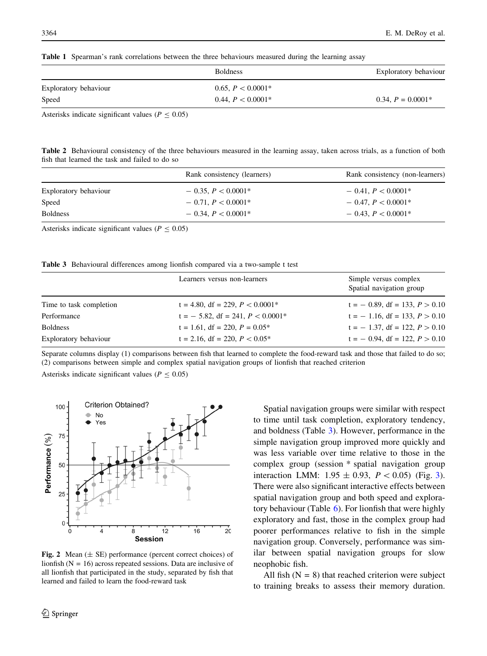<span id="page-7-0"></span>Table 1 Spearman's rank correlations between the three behaviours measured during the learning assay

|                       | <b>Boldness</b>     | Exploratory behaviour |
|-----------------------|---------------------|-----------------------|
| Exploratory behaviour | 0.65, $P < 0.0001*$ |                       |
| Speed                 | 0.44, $P < 0.0001*$ | $0.34, P = 0.0001*$   |

Asterisks indicate significant values ( $P \le 0.05$ )

Table 2 Behavioural consistency of the three behaviours measured in the learning assay, taken across trials, as a function of both fish that learned the task and failed to do so

|                       | Rank consistency (learners) | Rank consistency (non-learners) |
|-----------------------|-----------------------------|---------------------------------|
| Exploratory behaviour | $-0.35, P < 0.0001*$        | $-0.41, P < 0.0001*$            |
| Speed                 | $-0.71, P < 0.0001*$        | $-0.47, P < 0.0001*$            |
| <b>Boldness</b>       | $-0.34, P < 0.0001*$        | $-0.43, P < 0.0001*$            |

Asterisks indicate significant values ( $P \le 0.05$ )

|  |  |  |  |  |  |  | <b>Table 3</b> Behavioural differences among lionfish compared via a two-sample t test |  |  |
|--|--|--|--|--|--|--|----------------------------------------------------------------------------------------|--|--|
|--|--|--|--|--|--|--|----------------------------------------------------------------------------------------|--|--|

|                         | Learners versus non-learners                      | Simple versus complex<br>Spatial navigation group |
|-------------------------|---------------------------------------------------|---------------------------------------------------|
| Time to task completion | $t = 4.80$ , df = 229, $P < 0.0001$ <sup>*</sup>  | $t = -0.89$ , df = 133, $P > 0.10$                |
| Performance             | $t = -5.82$ , df = 241, $P < 0.0001$ <sup>*</sup> | $t = -1.16$ , df = 133, $P > 0.10$                |
| <b>Boldness</b>         | $t = 1.61$ , df = 220, $P = 0.05^*$               | $t = -1.37$ , df = 122, $P > 0.10$                |
| Exploratory behaviour   | $t = 2.16$ , df = 220, $P < 0.05^*$               | $t = -0.94$ , df = 122, $P > 0.10$                |
|                         |                                                   |                                                   |

Separate columns display (1) comparisons between fish that learned to complete the food-reward task and those that failed to do so; (2) comparisons between simple and complex spatial navigation groups of lionfish that reached criterion

Asterisks indicate significant values ( $P \le 0.05$ )



Fig. 2 Mean  $(\pm \text{ SE})$  performance (percent correct choices) of lionfish  $(N = 16)$  across repeated sessions. Data are inclusive of all lionfish that participated in the study, separated by fish that learned and failed to learn the food-reward task

Spatial navigation groups were similar with respect to time until task completion, exploratory tendency, and boldness (Table 3). However, performance in the simple navigation group improved more quickly and was less variable over time relative to those in the complex group (session \* spatial navigation group interaction LMM:  $1.95 \pm 0.93$  $1.95 \pm 0.93$ ,  $P < 0.05$ ) (Fig. 3). There were also significant interactive effects between spatial navigation group and both speed and exploratory behaviour (Table [6\)](#page-9-0). For lionfish that were highly exploratory and fast, those in the complex group had poorer performances relative to fish in the simple navigation group. Conversely, performance was similar between spatial navigation groups for slow neophobic fish.

All fish  $(N = 8)$  that reached criterion were subject to training breaks to assess their memory duration.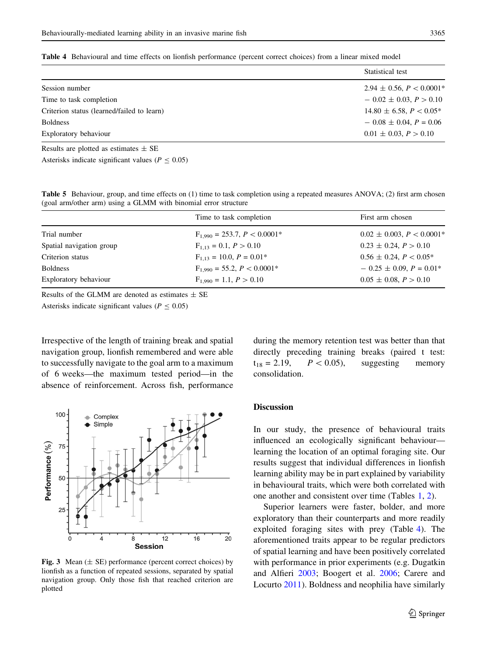<span id="page-8-0"></span>Table 4 Behavioural and time effects on lionfish performance (percent correct choices) from a linear mixed model

|                                            | Statistical test                |
|--------------------------------------------|---------------------------------|
| Session number                             | $2.94 \pm 0.56$ , $P < 0.0001*$ |
| Time to task completion                    | $-0.02 \pm 0.03, P > 0.10$      |
| Criterion status (learned/failed to learn) | $14.80 \pm 6.58$ , $P < 0.05^*$ |
| <b>Boldness</b>                            | $-0.08 \pm 0.04$ , $P = 0.06$   |
| Exploratory behaviour                      | $0.01 \pm 0.03, P > 0.10$       |
| Results are plotted as estimates $\pm$ SE  |                                 |

Asterisks indicate significant values ( $P \le 0.05$ )

Table 5 Behaviour, group, and time effects on (1) time to task completion using a repeated measures ANOVA; (2) first arm chosen (goal arm/other arm) using a GLMM with binomial error structure

|                          | Time to task completion          | First arm chosen                 |
|--------------------------|----------------------------------|----------------------------------|
| Trial number             | $F_{1,990} = 253.7, P < 0.0001*$ | $0.02 \pm 0.003$ , $P < 0.0001*$ |
| Spatial navigation group | $F_{1,13} = 0.1, P > 0.10$       | $0.23 \pm 0.24$ , $P > 0.10$     |
| Criterion status         | $F_{1,13} = 10.0, P = 0.01*$     | $0.56 \pm 0.24$ , $P < 0.05^*$   |
| <b>Boldness</b>          | $F_{1.990} = 55.2, P < 0.0001*$  | $-0.25 \pm 0.09$ , $P = 0.01*$   |
| Exploratory behaviour    | $F_{1.990} = 1.1, P > 0.10$      | $0.05 \pm 0.08$ , $P > 0.10$     |

Results of the GLMM are denoted as estimates  $\pm$  SE

Asterisks indicate significant values ( $P \le 0.05$ )

Irrespective of the length of training break and spatial navigation group, lionfish remembered and were able to successfully navigate to the goal arm to a maximum of 6 weeks—the maximum tested period—in the absence of reinforcement. Across fish, performance



Fig. 3 Mean  $(\pm$  SE) performance (percent correct choices) by lionfish as a function of repeated sessions, separated by spatial navigation group. Only those fish that reached criterion are plotted

during the memory retention test was better than that directly preceding training breaks (paired t test:  $t_{18} = 2.19$ ,  $P < 0.05$ ), suggesting memory consolidation.

# Discussion

In our study, the presence of behavioural traits influenced an ecologically significant behaviour learning the location of an optimal foraging site. Our results suggest that individual differences in lionfish learning ability may be in part explained by variability in behavioural traits, which were both correlated with one another and consistent over time (Tables [1,](#page-7-0) [2\)](#page-7-0).

Superior learners were faster, bolder, and more exploratory than their counterparts and more readily exploited foraging sites with prey (Table 4). The aforementioned traits appear to be regular predictors of spatial learning and have been positively correlated with performance in prior experiments (e.g. Dugatkin and Alfieri [2003](#page-11-0); Boogert et al. [2006;](#page-10-0) Carere and Locurto [2011](#page-11-0)). Boldness and neophilia have similarly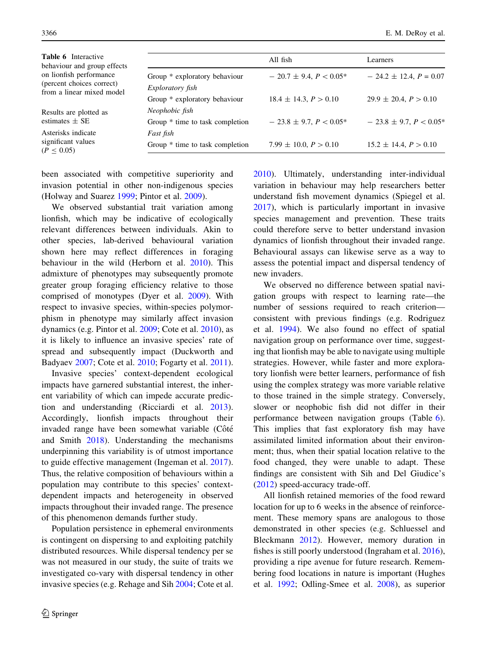<span id="page-9-0"></span>

| <b>Table 6</b> Interactive<br>behaviour and group effects<br>on lionfish performance<br>(percent choices correct)<br>from a linear mixed model |                                                          | All fish                       | Learners                       |
|------------------------------------------------------------------------------------------------------------------------------------------------|----------------------------------------------------------|--------------------------------|--------------------------------|
|                                                                                                                                                | Group * exploratory behaviour<br><i>Exploratory fish</i> | $-20.7 \pm 9.4, P < 0.05^*$    | $-24.2 \pm 12.4$ , $P = 0.07$  |
|                                                                                                                                                | Group * exploratory behaviour                            | $18.4 \pm 14.3, P > 0.10$      | $29.9 \pm 20.4, P > 0.10$      |
| Results are plotted as<br>estimates $\pm$ SE                                                                                                   | Neophobic fish                                           |                                |                                |
|                                                                                                                                                | Group * time to task completion                          | $-23.8 \pm 9.7$ , $P < 0.05^*$ | $-23.8 \pm 9.7$ , $P < 0.05^*$ |
| Asterisks indicate<br>significant values<br>$(P \le 0.05)$                                                                                     | Fast fish                                                |                                |                                |
|                                                                                                                                                | Group * time to task completion                          | $7.99 \pm 10.0$ , $P > 0.10$   | $15.2 \pm 14.4, P > 0.10$      |
|                                                                                                                                                |                                                          |                                |                                |

been associated with competitive superiority and invasion potential in other non-indigenous species (Holway and Suarez [1999;](#page-11-0) Pintor et al. [2009](#page-11-0)).

We observed substantial trait variation among lionfish, which may be indicative of ecologically relevant differences between individuals. Akin to other species, lab-derived behavioural variation shown here may reflect differences in foraging behaviour in the wild (Herborn et al. [2010\)](#page-11-0). This admixture of phenotypes may subsequently promote greater group foraging efficiency relative to those comprised of monotypes (Dyer et al. [2009](#page-11-0)). With respect to invasive species, within-species polymorphism in phenotype may similarly affect invasion dynamics (e.g. Pintor et al. [2009;](#page-11-0) Cote et al. [2010\)](#page-11-0), as it is likely to influence an invasive species' rate of spread and subsequently impact (Duckworth and Badyaev [2007;](#page-11-0) Cote et al. [2010](#page-11-0); Fogarty et al. [2011](#page-11-0)).

Invasive species' context-dependent ecological impacts have garnered substantial interest, the inherent variability of which can impede accurate prediction and understanding (Ricciardi et al. [2013](#page-11-0)). Accordingly, lionfish impacts throughout their invaded range have been somewhat variable (Côté and Smith [2018](#page-11-0)). Understanding the mechanisms underpinning this variability is of utmost importance to guide effective management (Ingeman et al. [2017](#page-11-0)). Thus, the relative composition of behaviours within a population may contribute to this species' contextdependent impacts and heterogeneity in observed impacts throughout their invaded range. The presence of this phenomenon demands further study.

Population persistence in ephemeral environments is contingent on dispersing to and exploiting patchily distributed resources. While dispersal tendency per se was not measured in our study, the suite of traits we investigated co-vary with dispersal tendency in other invasive species (e.g. Rehage and Sih [2004](#page-11-0); Cote et al. [2010\)](#page-11-0). Ultimately, understanding inter-individual variation in behaviour may help researchers better understand fish movement dynamics (Spiegel et al. [2017\)](#page-12-0), which is particularly important in invasive species management and prevention. These traits could therefore serve to better understand invasion dynamics of lionfish throughout their invaded range. Behavioural assays can likewise serve as a way to assess the potential impact and dispersal tendency of new invaders.

We observed no difference between spatial navigation groups with respect to learning rate—the number of sessions required to reach criterion consistent with previous findings (e.g. Rodriguez et al. [1994](#page-12-0)). We also found no effect of spatial navigation group on performance over time, suggesting that lionfish may be able to navigate using multiple strategies. However, while faster and more exploratory lionfish were better learners, performance of fish using the complex strategy was more variable relative to those trained in the simple strategy. Conversely, slower or neophobic fish did not differ in their performance between navigation groups (Table 6). This implies that fast exploratory fish may have assimilated limited information about their environment; thus, when their spatial location relative to the food changed, they were unable to adapt. These findings are consistent with Sih and Del Giudice's [\(2012](#page-12-0)) speed-accuracy trade-off.

All lionfish retained memories of the food reward location for up to 6 weeks in the absence of reinforcement. These memory spans are analogous to those demonstrated in other species (e.g. Schluessel and Bleckmann [2012\)](#page-12-0). However, memory duration in fishes is still poorly understood (Ingraham et al. [2016](#page-11-0)), providing a ripe avenue for future research. Remembering food locations in nature is important (Hughes et al. [1992](#page-11-0); Odling-Smee et al. [2008\)](#page-11-0), as superior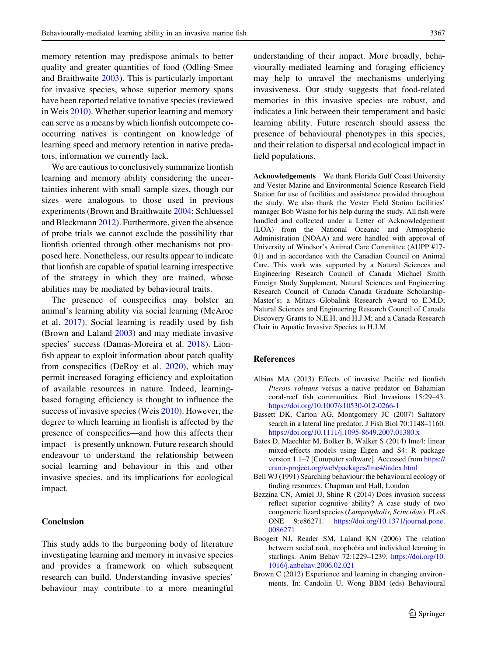<span id="page-10-0"></span>memory retention may predispose animals to better quality and greater quantities of food (Odling-Smee and Braithwaite [2003](#page-11-0)). This is particularly important for invasive species, whose superior memory spans have been reported relative to native species (reviewed in Weis [2010\)](#page-12-0). Whether superior learning and memory can serve as a means by which lionfish outcompete cooccurring natives is contingent on knowledge of learning speed and memory retention in native predators, information we currently lack.

We are cautious to conclusively summarize lionfish learning and memory ability considering the uncertainties inherent with small sample sizes, though our sizes were analogous to those used in previous experiments (Brown and Braithwaite [2004](#page-11-0); Schluessel and Bleckmann [2012](#page-12-0)). Furthermore, given the absence of probe trials we cannot exclude the possibility that lionfish oriented through other mechanisms not proposed here. Nonetheless, our results appear to indicate that lionfish are capable of spatial learning irrespective of the strategy in which they are trained, whose abilities may be mediated by behavioural traits.

The presence of conspecifics may bolster an animal's learning ability via social learning (McAroe et al. [2017](#page-11-0)). Social learning is readily used by fish (Brown and Laland [2003](#page-11-0)) and may mediate invasive species' success (Damas-Moreira et al. [2018\)](#page-11-0). Lionfish appear to exploit information about patch quality from conspecifics (DeRoy et al. [2020\)](#page-11-0), which may permit increased foraging efficiency and exploitation of available resources in nature. Indeed, learningbased foraging efficiency is thought to influence the success of invasive species (Weis [2010](#page-12-0)). However, the degree to which learning in lionfish is affected by the presence of conspecifics—and how this affects their impact—is presently unknown. Future research should endeavour to understand the relationship between social learning and behaviour in this and other invasive species, and its implications for ecological impact.

## Conclusion

This study adds to the burgeoning body of literature investigating learning and memory in invasive species and provides a framework on which subsequent research can build. Understanding invasive species' behaviour may contribute to a more meaningful understanding of their impact. More broadly, behaviourally-mediated learning and foraging efficiency may help to unravel the mechanisms underlying invasiveness. Our study suggests that food-related memories in this invasive species are robust, and indicates a link between their temperament and basic learning ability. Future research should assess the presence of behavioural phenotypes in this species, and their relation to dispersal and ecological impact in field populations.

Acknowledgements We thank Florida Gulf Coast University and Vester Marine and Environmental Science Research Field Station for use of facilities and assistance provided throughout the study. We also thank the Vester Field Station facilities' manager Bob Wasno for his help during the study. All fish were handled and collected under a Letter of Acknowledgement (LOA) from the National Oceanic and Atmospheric Administration (NOAA) and were handled with approval of University of Windsor's Animal Care Committee (AUPP #17- 01) and in accordance with the Canadian Council on Animal Care. This work was supported by a Natural Sciences and Engineering Research Council of Canada Michael Smith Foreign Study Supplement, Natural Sciences and Engineering Research Council of Canada Canada Graduate Scholarship-Master's; a Mitacs Globalink Research Award to E.M.D; Natural Sciences and Engineering Research Council of Canada Discovery Grants to N.E.H. and H.J.M; and a Canada Research Chair in Aquatic Invasive Species to H.J.M.

### References

- Albins MA (2013) Effects of invasive Pacific red lionfish Pterois volitans versus a native predator on Bahamian coral-reef fish communities. Biol Invasions 15:29–43. <https://doi.org/10.1007/s10530-012-0266-1>
- Bassett DK, Carton AG, Montgomery JC (2007) Saltatory search in a lateral line predator. J Fish Biol 70:1148–1160. <https://doi.org/10.1111/j.1095-8649.2007.01380.x>
- Bates D, Maechler M, Bolker B, Walker S (2014) lme4: linear mixed-effects models using Eigen and S4: R package version 1.1–7 [Computer software]. Accessed from [https://](https://cran.r-project.org/web/packages/lme4/index.html) [cran.r-project.org/web/packages/lme4/index.html](https://cran.r-project.org/web/packages/lme4/index.html)
- Bell WJ (1991) Searching behaviour: the behavioural ecology of finding resources. Chapman and Hall, London
- Bezzina CN, Amiel JJ, Shine R (2014) Does invasion success reflect superior cognitive ability? A case study of two congeneric lizard species (Lampropholis, Scincidae). PLoS ONE 9:e86271. [https://doi.org/10.1371/journal.pone.](https://doi.org/10.1371/journal.pone.0086271) [0086271](https://doi.org/10.1371/journal.pone.0086271)
- Boogert NJ, Reader SM, Laland KN (2006) The relation between social rank, neophobia and individual learning in starlings. Anim Behav 72:1229–1239. [https://doi.org/10.](https://doi.org/10.1016/j.anbehav.2006.02.021) [1016/j.anbehav.2006.02.021](https://doi.org/10.1016/j.anbehav.2006.02.021)
- Brown C (2012) Experience and learning in changing environments. In: Candolin U, Wong BBM (eds) Behavioural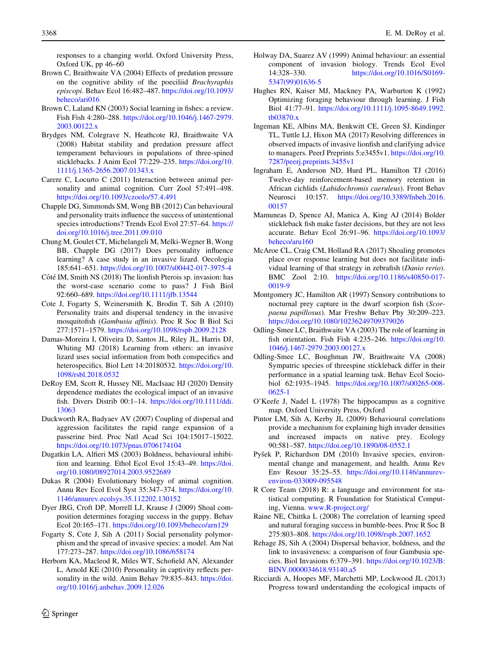<span id="page-11-0"></span>responses to a changing world. Oxford University Press, Oxford UK, pp 46–60

- Brown C, Braithwaite VA (2004) Effects of predation pressure on the cognitive ability of the poeciliid Brachyraphis episcopi. Behav Ecol 16:482–487. [https://doi.org/10.1093/](https://doi.org/10.1093/beheco/ari016) [beheco/ari016](https://doi.org/10.1093/beheco/ari016)
- Brown C, Laland KN (2003) Social learning in fishes: a review. Fish Fish 4:280–288. [https://doi.org/10.1046/j.1467-2979.](https://doi.org/10.1046/j.1467-2979.2003.00122.x) [2003.00122.x](https://doi.org/10.1046/j.1467-2979.2003.00122.x)
- Brydges NM, Colegrave N, Heathcote RJ, Braithwaite VA (2008) Habitat stability and predation pressure affect temperament behaviours in populations of three-spined sticklebacks. J Anim Ecol 77:229–235. [https://doi.org/10.](https://doi.org/10.1111/j.1365-2656.2007.01343.x) [1111/j.1365-2656.2007.01343.x](https://doi.org/10.1111/j.1365-2656.2007.01343.x)
- Carere C, Locurto C (2011) Interaction between animal personality and animal cognition. Curr Zool 57:491–498. <https://doi.org/10.1093/czoolo/57.4.491>
- Chapple DG, Simmonds SM, Wong BB (2012) Can behavioural and personality traits influence the success of unintentional species introductions? Trends Ecol Evol 27:57-64. [https://](https://doi.org/10.1016/j.tree.2011.09.010) [doi.org/10.1016/j.tree.2011.09.010](https://doi.org/10.1016/j.tree.2011.09.010)
- Chung M, Goulet CT, Michelangeli M, Melki-Wegner B, Wong BB, Chapple DG (2017) Does personality influence learning? A case study in an invasive lizard. Oecologia 185:641–651. <https://doi.org/10.1007/s00442-017-3975-4>
- Côté IM, Smith NS (2018) The lionfish Pterois sp. invasion: has the worst-case scenario come to pass? J Fish Biol 92:660–689. <https://doi.org/10.1111/jfb.13544>
- Cote J, Fogarty S, Weinersmith K, Brodin T, Sih A (2010) Personality traits and dispersal tendency in the invasive mosquitofish (Gambusia affinis). Proc R Soc B Biol Sci 277:1571–1579. <https://doi.org/10.1098/rspb.2009.2128>
- Damas-Moreira I, Oliveira D, Santos JL, Riley JL, Harris DJ, Whiting MJ (2018) Learning from others: an invasive lizard uses social information from both conspecifics and heterospecifics. Biol Lett 14:20180532. [https://doi.org/10.](https://doi.org/10.1098/rsbl.2018.0532) [1098/rsbl.2018.0532](https://doi.org/10.1098/rsbl.2018.0532)
- DeRoy EM, Scott R, Hussey NE, MacIsaac HJ (2020) Density dependence mediates the ecological impact of an invasive fish. Divers Distrib 00:1–14. [https://doi.org/10.1111/ddi.](https://doi.org/10.1111/ddi.13063) [13063](https://doi.org/10.1111/ddi.13063)
- Duckworth RA, Badyaev AV (2007) Coupling of dispersal and aggression facilitates the rapid range expansion of a passerine bird. Proc Natl Acad Sci 104:15017–15022. <https://doi.org/10.1073/pnas.0706174104>
- Dugatkin LA, Alfieri MS (2003) Boldness, behavioural inhibition and learning. Ethol Ecol Evol 15:43–49. [https://doi.](https://doi.org/10.1080/08927014.2003.9522689) [org/10.1080/08927014.2003.9522689](https://doi.org/10.1080/08927014.2003.9522689)
- Dukas R (2004) Evolutionary biology of animal cognition. Annu Rev Ecol Evol Syst 35:347–374. [https://doi.org/10.](https://doi.org/10.1146/annurev.ecolsys.35.112202.130152) [1146/annurev.ecolsys.35.112202.130152](https://doi.org/10.1146/annurev.ecolsys.35.112202.130152)
- Dyer JRG, Croft DP, Morrell LJ, Krause J (2009) Shoal composition determines foraging success in the guppy. Behav Ecol 20:165–171. <https://doi.org/10.1093/beheco/arn129>
- Fogarty S, Cote J, Sih A (2011) Social personality polymorphism and the spread of invasive species: a model. Am Nat 177:273–287. <https://doi.org/10.1086/658174>
- Herborn KA, Macleod R, Miles WT, Schofield AN, Alexander L, Arnold KE (2010) Personality in captivity reflects personality in the wild. Anim Behav 79:835–843. [https://doi.](https://doi.org/10.1016/j.anbehav.2009.12.026) [org/10.1016/j.anbehav.2009.12.026](https://doi.org/10.1016/j.anbehav.2009.12.026)
- Holway DA, Suarez AV (1999) Animal behaviour: an essential component of invasion biology. Trends Ecol Evol 14:328–330. [https://doi.org/10.1016/S0169-](https://doi.org/10.1016/S0169-5347(99)01636-5) [5347\(99\)01636-5](https://doi.org/10.1016/S0169-5347(99)01636-5)
- Hughes RN, Kaiser MJ, Mackney PA, Warburton K (1992) Optimizing foraging behaviour through learning. J Fish Biol 41:77–91. [https://doi.org/10.1111/j.1095-8649.1992.](https://doi.org/10.1111/j.1095-8649.1992.tb03870.x) [tb03870.x](https://doi.org/10.1111/j.1095-8649.1992.tb03870.x)
- Ingeman KE, Albins MA, Benkwitt CE, Green SJ, Kindinger TL, Tuttle LJ, Hixon MA (2017) Resolving differences in observed impacts of invasive lionfish and clarifying advice to managers. PeerJ Preprints 5:e3455v1. [https://doi.org/10.](https://doi.org/10.7287/peerj.preprints.3455v1) [7287/peerj.preprints.3455v1](https://doi.org/10.7287/peerj.preprints.3455v1)
- Ingraham E, Anderson ND, Hurd PL, Hamilton TJ (2016) Twelve-day reinforcement-based memory retention in African cichlids (Labidochromis caeruleus). Front Behav Neurosci 10:157. [https://doi.org/10.3389/fnbeh.2016.](https://doi.org/10.3389/fnbeh.2016.00157) [00157](https://doi.org/10.3389/fnbeh.2016.00157)
- Mamuneas D, Spence AJ, Manica A, King AJ (2014) Bolder stickleback fish make faster decisions, but they are not less accurate. Behav Ecol 26:91–96. [https://doi.org/10.1093/](https://doi.org/10.1093/beheco/aru160) [beheco/aru160](https://doi.org/10.1093/beheco/aru160)
- McAroe CL, Craig CM, Holland RA (2017) Shoaling promotes place over response learning but does not facilitate individual learning of that strategy in zebrafish (Danio rerio). BMC Zool 2:10. [https://doi.org/10.1186/s40850-017-](https://doi.org/10.1186/s40850-017-0019-9) [0019-9](https://doi.org/10.1186/s40850-017-0019-9)
- Montgomery JC, Hamilton AR (1997) Sensory contributions to nocturnal prey capture in the dwarf scorpion fish (Scorpaena papillosus). Mar Freshw Behav Phy 30:209–223. <https://doi.org/10.1080/10236249709379026>
- Odling-Smee LC, Braithwaite VA (2003) The role of learning in fish orientation. Fish Fish 4:235–246. [https://doi.org/10.](https://doi.org/10.1046/j.1467-2979.2003.00127.x) [1046/j.1467-2979.2003.00127.x](https://doi.org/10.1046/j.1467-2979.2003.00127.x)
- Odling-Smee LC, Boughman JW, Braithwaite VA (2008) Sympatric species of threespine stickleback differ in their performance in a spatial learning task. Behav Ecol Sociobiol 62:1935–1945. [https://doi.org/10.1007/s00265-008-](https://doi.org/10.1007/s00265-008-0625-1) [0625-1](https://doi.org/10.1007/s00265-008-0625-1)
- O'Keefe J, Nadel L (1978) The hippocampus as a cognitive map. Oxford University Press, Oxford
- Pintor LM, Sih A, Kerby JL (2009) Behavioural correlations provide a mechanism for explaining high invader densities and increased impacts on native prey. Ecology 90:581–587. <https://doi.org/10.1890/08-0552.1>
- Pyšek P, Richardson DM (2010) Invasive species, environmental change and management, and health. Annu Rev Env Resour 35:25–55. [https://doi.org/10.1146/annurev](https://doi.org/10.1146/annurev-environ-033009-095548)[environ-033009-095548](https://doi.org/10.1146/annurev-environ-033009-095548)
- R Core Team (2018) R: a language and environment for statistical computing. R Foundation for Statistical Computing, Vienna. [www.R-project.org/](http://www.R-project.org/)
- Raine NE, Chittka L (2008) The correlation of learning speed and natural foraging success in bumble-bees. Proc R Soc B 275:803–808. <https://doi.org/10.1098/rspb.2007.1652>
- Rehage JS, Sih A (2004) Dispersal behavior, boldness, and the link to invasiveness: a comparison of four Gambusia species. Biol Invasions 6:379–391. [https://doi.org/10.1023/B:](https://doi.org/10.1023/B:BINV.0000034618.93140.a5) [BINV.0000034618.93140.a5](https://doi.org/10.1023/B:BINV.0000034618.93140.a5)
- Ricciardi A, Hoopes MF, Marchetti MP, Lockwood JL (2013) Progress toward understanding the ecological impacts of